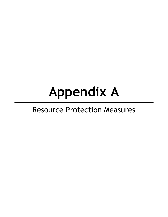# **Appendix A**

# Resource Protection Measures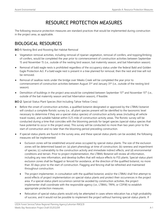## RESOURCE PROTECTION MEASURES

The following resource protection measures are standard practices that would be implemented during construction in the project area, as applicable.

#### BIOLOGICAL RESOURCES

BIO-1: Nesting Bird and Roosting Bat Habitat Removal

- Vegetation removal activities, including removal of riparian vegetation, removal of conifers, and topping/limbing of conifers, would be completed the year prior to commencement of construction activities between September 15 and November 15 (i.e., outside of the nesting bird season, bat maternity season, and bat hibernation season).
- Removal of bald eagle nests is prohibited regardless of the occupancy status under the federal Bald and Golden Eagle Protection Act. If a bald eagle nest is present in a tree planned for removal, then the nest and tree will not be removed.
- Removal of swallow nests under the bridge over Meeks Creek will be completed the year prior to commencement of construction activities between August  $31<sup>st</sup>$  and January  $31<sup>st</sup>$  (i.e., outside of the nesting bird season).
- **Demolition of buildings in the project area would be completed between September 15<sup>th</sup> and November 15<sup>th</sup> (i.e.,** outside of the bat maternity season and bat hibernation season), if feasible.

BIO-2: Special-Status Plant Species (Not Including Tahoe Yellow Cress)

- Before the onset of construction activities, a qualified botanist designated or approved by the LTBMU botanist will conduct a complete floristic survey (i.e., all plant species present will be identified to the taxonomic level necessary to determine if they are a special-status species) of construction activity areas (including all vehicle travel routes), and suitable habitat within 0.25 mile of construction activity areas. The floristic survey will be conducted during a time that coincides with the blooming periods for target species (special-status species that have potential to occur in the project area). This survey will be conducted no more than two years prior to the start of construction and no later than the blooming period preceding construction.
- If special-status plants are found in the survey area, and these special-status plants can be avoided, the following measures will be implemented:
	- Exclusion zones will be established around areas occupied by special-status plants. The size of the exclusion zones will be determined based on: (a) plant phenology at time of construction; (b) rareness and imperilment of species; (c) vulnerability to the construction activity and immediate indirect effects; and (d) environmental conditions and terrain. Prior to project implementation, the LTBMU Botanist will review all information, including any new information, and develop buffers that will reduce effects to FSS plants. Special-status plant exclusion zones shall be flagged or fenced for avoidance, at the direction of the qualified botanist, no more than 30 days prior to the start of construction. Flagging and fencing shall be refreshed and maintained throughout construction.
	- The project implementer, in consultation with the qualified botanist, and/or the LTBMU shall first attempt to avoid effects of project implementation on special-status plants and protect their occurrences in the project area. If a special-status plant occurrence cannot be avoided by construction activities, the project implementer shall coordinate with the responsible agency (i.e., LTBMU, TRPA, or CDFW) to establish appropriate protection measures.
	- Relocation of special-status plants would only be attempted in cases where relocation has a high probability of success, and it would not be possible to implement the project without harming special-status plants. If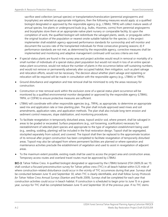sacrifice seed collection (annual species) or transplantation/translocation (perennial angiosperms and bryophytes) are selected as appropriate mitigations, then the following measures would apply: a) a qualified biologist designated or approved by the responsible agency (e.g., LTBMU, TRPA) will collect mature seeds of annual species, live plants or underground buds (e.g., bulbs, rhizomes, corms) from perennial angiosperms and bryophytes store them at an appropriate native plant nursery or comparable facility; b) upon the completion of work, the qualified biologist will redistribute the salvaged plants, seeds, or propagules within the original location of the population or nearest onsite suitable habitat for the species; c) the project implementer shall establish agency-approved performance standards for survivorship and will monitor and document the success rate of the transplanted individuals for three consecutive growing seasons; d) if performance standards are not met, as determined by the responsible agency, corrective measures shall be implemented and monitoring and adaptive management continued until success criteria are met.

- If special-status plants are found in the survey area and project activities would result in removal or mortality of a small number of individuals of a special-status plant population but would not result in loss of an entire specialstatus plant occurrence, would not reduce the number of plants in the occurrence below self-sustaining numbers, and would not remove or permanently adversely alter occupied habitat, then mitigation, such as plant salvage and relocation efforts, would not be necessary. The decision about whether plant salvage and replanting or relocation will be required will be made in consultation with the responsible agency (e.g., LTBMU or TRPA).
- Ground disturbance and vegetation and tree removal shall be minimized to only the areas necessary for construction.
- $\triangleright$  Construction or tree removal work within the exclusion zone of a special-status plant occurrence will be monitored by a qualified environmental monitor designated or approved by the responsible agency (LTBMU, TRPA, or CDFW) to ensure protective measures are sufficient.
- **EXTEMU** will coordinate with other responsible agencies (e.g., TRPA), as appropriate, to determine an appropriate seed mix and application rate or tree-planting plan. The plan shall include approved seed mixes and soil amendments, application rates, and application methods. The plan shall also include long-term erosion and sediment control measures, slope stabilization, and monitoring procedures.
- ▶ To facilitate revegetation in temporarily disturbed areas, topsoil and/or sod, where present, shall be salvaged in areas to be graded or excavated. Surface preparations (e.g., soil loosening, scarification) necessary for reestablishment of selected plant species and appropriate to the type of vegetation establishment being used (e.g., seeding, sodding, planting) will be included in the final restoration design. Topsoil shall be segregated, stockpiled separately from subsoil, and covered. The topsoil shall then be replaced to the approximate location of its removal after project construction has been completed to facilitate revegetation of temporarily disturbed areas. Topsoil may also be salvaged from where permanent facilities are planned or where operation and maintenance activities preclude the establishment of vegetation and used to assist in revegetation of adjacent areas.
- To the maximum extent possible, existing roads shall be used to access the project area and construction areas. Temporary access routes and overland travel routes must be approved by LTBMU.

BIO-3: Tahoe Yellow Cress. A qualified biologist designated or approved by the LTBMU botanist (FSH 2609.26 sec 11) shall conduct a focused preconstruction survey for Tahoe yellow cress (TYC) in all beach habitat within 0.25 mile of where construction-related disturbance could occur in the vicinity of TYC occurrences during that year. Surveys shall be conducted between June 15 and September 30, when TYC is clearly identifiable, and shall follow *Survey Protocols for Tahoe Yellow Cress Annual Surveys* (Stanton and Pavlik 2009). Surveys shall be completed for each year that construction activities could occur in beach habitat. If construction is scheduled to begin prior to June 15 in a given year, surveys for TYC shall be completed between June 15 and September 30 of the previous year. If no TYC stems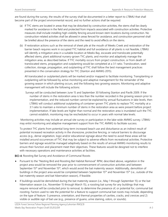are found during the survey, the results of the survey shall be documented in a letter report to LTBMU that shall become part of the project environmental record, and no further actions shall be required.

- (a) If TYC stems are located in areas that may be disturbed by construction activities, the stems shall be clearly marked for avoidance in the field and protected from impacts associated with construction activities. Protective measures shall include installing high-visibility fencing around known stem locations during construction. No construction-related activities shall be allowed in areas fenced for avoidance, and construction personnel shall be briefed about the presence of the stems and the need to avoid effects on the stems.
- (b) If restoration actions such as the removal of sheet pile at the mouth of Meeks Creek and restoration of the barrier beach requires work in occupied TYC habitat and full avoidance of all plants is not feasible, LTBMU will identify a mitigation area in a suitable location at Meeks Bay, excavate and translocate potentially affected stems, plant additional nursery-grown TYC plants, and monitor and adaptively manage the mitigation area, as described below. If TYC mortality occurs from project construction, or from death of translocated stems, propagation and outplanting would be completed at a 3:1 ratio. Translocation, seed collection, storage, propagation, and outplanting of TYC shall follow the best management practices presented in the conservation strategy for TYC (Stanton and AMWG 2015).

All translocated or outplanted plants will be marked and/or mapped to facilitate monitoring. Transplanting or outplanting will be followed by active monitoring and adaptive management for the remainder of the growing season in which planting occurs, and the following two growing seasons. Monitoring and adaptive management will include the following actions:

Surveys will be conducted between June 15 and September 30 following Stanton and Pavlik 2009. If the number of stems in the restoration area is less than the number recorded in the growing season prior to implementation, and the reduced number cannot be explained by annual fluctuations in lake levels, then LTBMU will conduct additional outplanting of container-grown TYC plants to replace TYC mortality at a 3:1 ratio to maintain a minimum number of stems in the restoration area as were present before project implementation. If lake levels are higher than normal and the restoration area is inundated such the TYC cannot establish, monitoring may be rescheduled to occur in years with normal lake levels.

Monitoring activities may include an annual site survey or participation in the lake-wide AMWG survey. LTBMU may enlist monitoring and adaptive management support from the TYC AMWG to facilitate success.

To protect TYC plants from potential long-term increased beach use and disturbance as an indirect result of potential increased recreation activity in the shorezone, protective fencing, or natural barriers to discourage access (e.g., dense vegetation, logs) and/or educational signage about the need to avoid these areas will be installed around occurrences of TYC that may be subject to adverse effects from recreational activities. Protective barriers and signage would be managed adaptively based on the results of annual AMWG monitoring results to ensure their function and placement meet their objectives. These features would be designed not to interfere with necessary operations and maintenance activities at facilities.

BIO-4: Roosting Bat Survey and Avoidance of Communal Roosts

- Pursuant to the "Nesting Bird and Roosting Bat Habitat Removal" RPM, described above, vegetation in the project area would be removed the year prior to commencement of construction activities and between September 15<sup>th</sup> and November 15<sup>th</sup>, which would avoid the bat maternity season. Additionally, demolition of buildings in the project area would be completed between September 15<sup>th</sup> and November 15<sup>th</sup> (i.e., outside of the bat maternity season and bat hibernation season), if feasible.
- $\blacktriangleright$  If buildings would be demolished during the bat maternity season (i.e., May 1 through September 15) or the bat hibernation season (i.e., November 15 through March 15), a roosting bat survey for any buildings that may require removal will be conducted prior to removal, to determine the presence of, or potential for, communal bat roosting. Factors used to rate the potential for a feature to support communal bat roosts may include, depending on the type of feature: 1) presence, orientation, and thermal properties of cavities, cracks, and crevices and 2) visible or audible sign of bat use (e.g., presence of guano, urine staining, odors, or sounds).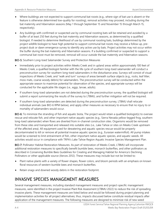- Where buildings are not expected to support communal bat roosts (e.g., where sign of bat use is absent or the feature is otherwise determined low-quality for roosting), removal activities may proceed, including during the bat maternity and hibernation seasons (May 1 through September 15 and November 15 through March 15, respectively).
- Any buildings with confirmed or suspected use by communal roosting bats will be retained and avoided by a buffer of at least 250 feet during the bat maternity and hibernation seasons, as determined by a qualified biologist. If needed to determine likelihood of use by communal roosting bats, buildings determined by the project wildlife biologist to have high potential to support communal bat roosts may receive a follow-up, preproject dusk or dawn emergence survey to identify any active use by bats. Project activities may not occur within the buffer during the bat maternity and hibernation seasons. If a building confirmed or suspected to support a communal bat roost must be removed, removal will occur outside the bat maternity and hibernation seasons.

BIO-5: Southern Long-toed Salamander Survey and Protection Measures

- Immediately prior to project activities within Meeks Creek and in upland areas within approximately 100 feet of Meeks Creek, a qualified biologist familiar with the life cycle of southern long-toed salamander will conduct a preconstruction survey for southern long-toed salamanders in the disturbance area. Surveys will consist of visual inspections of Meeks Creek, and "walk and turn" surveys of areas beneath surface objects (e.g., rocks, leaf litter, moss mats, coarse woody debris) for salamanders. The preconstruction survey will be conducted within the appropriate season to maximize potential for observation of the species, and appropriate surveys will be conducted for the applicable life stages (i.e., eggs, larvae, adults).
- If southern long-toed salamanders are not detected during the preconstruction survey, the qualified biologist will submit a report summarizing the results of the survey to LTBMU, and further mitigation will not be required.
- **If southern long-toed salamanders are detected during the preconstruction survey, LTBMU shall relocate** individual animals (see BIO-6 RPM below), and apply other measures as necessary to ensure that no injury to or mortality of salamanders would occur.

BIO-6: To minimize the stranding of fish and aquatic biota, The project would retain a qualified biologist(s) to oversee rescue and relocate fish, and other important native aquatic species (e.g., Sierra Nevada yellow-legged frog, southern long-toed salamander) when flows are diverted from in-channel construction sites. Organisms would be removed from these sites and transported and released into suitable sites (i.e., Lake Tahoe or sites on Meeks Creek upstream of the affected area). All equipment used for dewatering and aquatic species rescue would be properly decontaminated to kill or remove all potential invasive aquatic species (e.g., Eurasian watermilfoil). All pump intakes would be screened to limit entrainment of fish, other important native aquatic species, and aquatic weeds. All activities would occur in compliance with TRPA's Lake Tahoe Region Aquatic Invasive Species Management Plan.

BIO-7: Pollinator Habitat Restoration Measures. As part of restoration of Meeks Creek, LTBMU will incorporate additional restoration measures to specifically benefit bumble bees, monarch butterflies, and other pollinators as described in Conserving Bumble Bees Guidelines for Creating and Managing Habitat for America's Declining Pollinators or other applicable source (Xerces 2012). These measures may include but not be limited to:

- Plant native plants with a variety of flower shapes, flower colors, and bloom periods with an emphasis on known floral resources of western bumble bees and monarch butterflies.
- Retain snags and downed woody debris in the restoration footprint.

#### INVASIVE SPECIES MANAGEMENT MEASURES

Several management measures, including standard management measures and project-specific management measures, were identified in the project Invasive Plant Risk Assessment (LTBMU 2022) to reduce the risk of spreading invasive plants. These management measures are listed below and would be followed during project planning and implementation activities for all project alternatives; thus, impacts discussed below constitute residual impacts after application of the management measures. The following measures are designed to minimize risk of new weed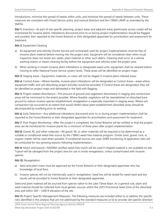introductions, minimize the spread of weeds within units, and minimize the spread of weeds between units. These measures are consistent with Forest Service policy and manual direction and the LTBMU LRMP as amended by the SNFPA.

INV-1: Inventory—As part of site-specific planning, project areas and adjacent areas (particularly access roads) will be inventoried for invasive plants. Infestations discovered prior to or during project implementation should be flagged and avoided, then reported to the Forest Botanist or their designated appointee for prioritization and assessment for treatment.

#### INV-2: Equipment Cleaning

- a) All equipment and vehicles (Forest Service and contracted) used for project implementation must be free of invasive plant material before moving into the project area. Equipment will be considered clean when visual inspection does not reveal soil, seeds, plant material or other such debris. Cleaning shall occur at a vehicle washing station or steam-cleaning facility before the equipment and vehicles enter the project area.
- b) When working in known invasive plant infestations or designated weed units, equipment shall be cleaned before moving to other National Forest Service system lands. These areas will be identified on project maps.

INV-3: Staging areas—Equipment, materials, or crews will not be staged in invasive plant-infested areas.

INV-4: Control Areas—Where feasible, invasive plant infestations will be designated as Control Areas—areas where equipment traffic and soil-disturbing project activities would be excluded. If Control Areas are designated, they will be identified on project maps and delineated in the field with flagging.

INV-5: Project-related disturbance—The amount of ground and vegetation disturbance in staging and construction areas will be minimized to the extent possible. Where feasible, vegetation will be reestablished on disturbed bare ground to reduce invasive species establishment; revegetation is especially important in staging areas. Where soil compaction has occurred to an extent that would inhibit native plant establishment disturbed areas should be decompacted by scarifying prior to seeding.

INV-6: Early Detection—Any additional infestations discovered prior to or during project implementation shall be reported to the Forest Botanist or their designated appointee for prioritization and assessment for treatment.

INV-7: Post Project Monitoring—After the project is completed, the Forest Botanist will be notified so that the project area can be monitored for invasive plants for a minimum of three years after project implementation.

INV-8: Gravel, fill, and other materials—All gravel, fill, or other materials will be required to be determined as a suitable or conditional weed-free source by the LTBMU weed free material program. Onsite sand, gravel, rock, or organic matter will be used when possible. If conditional sources are used, EDRR monitoring of application sites will be conducted for two growing seasons following implementation.

INV-9: Mulch and topsoil—NAISMA certified weed-free mulch will be used if chipped material is not available on site. Topsoil will be salvaged from the project area for use in onsite revegetation, unless contaminated with invasive species.

#### INV-10: Revegetation:

- a) Seed and plant mixes must be approved by the Forest Botanist or their designated appointee who has knowledge of local flora.
- b) Invasive species will not be intentionally used in revegetation. Seed lots will be tested for weed seed and test results will be provided to Forest Botanist or their designated appointee.

Seed and plant material will be sourced from species native to the Lake Tahoe Basin. As a general rule, plant and seed material should be collected from local genetic sources within the USFS Provisional Seed Zone of the disturbed area and within 500 – 1,000 ft elevation of the site.

INV-11: Project-Specific Management Measures. The following measures are included either to a) address the specific risks identified in this analysis that are not addressed by the standard measures or b) to provide site-specific direction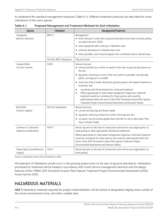to implement the standard management measures (Table A-1). Different treatment protocols are described for some infestations of the same species.

| <b>Species</b>                                 | Infestation                 | Management/Treatment                                                                                                                                                                                                                                                                                                                                    |
|------------------------------------------------|-----------------------------|---------------------------------------------------------------------------------------------------------------------------------------------------------------------------------------------------------------------------------------------------------------------------------------------------------------------------------------------------------|
| Cheatgrass<br>(Bromus tectorum)                | BRTE-5                      | Management:<br>revisit site prior to the start of ground disturbance and treat via hand-pulling<br>(no plants found in 2020);                                                                                                                                                                                                                           |
|                                                |                             | ▶ wash equipment after working in infestation area;                                                                                                                                                                                                                                                                                                     |
|                                                |                             | minimize disturbance in infested areas; and                                                                                                                                                                                                                                                                                                             |
|                                                |                             | where possible, work should progress from uninfested area to infested area.                                                                                                                                                                                                                                                                             |
|                                                | All other BRTE infestations | Flag and avoid.                                                                                                                                                                                                                                                                                                                                         |
| Canada thistle<br>(Cirsium arvense)            | CIAR-1                      | Manual removal:<br>removal should occur within six weeks of the start of ground disturbance on<br>the site;                                                                                                                                                                                                                                             |
|                                                |                             | ▶ dig plants removing as much of the root system as possible, securely bag<br>plants, and dispose in a landfill;                                                                                                                                                                                                                                        |
|                                                |                             | revisit site every 6 weeks during the growing season and repeat treatment as<br>necessary; and                                                                                                                                                                                                                                                          |
|                                                |                             | coordinate with forest botanist for continued treatment.<br>▶<br>Where appropriate to meet weed management objectives, herbicide<br>▶<br>treatment would be considered for these species and would be<br>administered within the terms of the 2010 Terrestrial Invasive Plan Species<br>Treatment Project Environmental Assessment and Decision Notice. |
| <b>Bull thistle</b><br>(Cirsium vulgare)       | All CIVU infestations       | Manual removal:<br>• cut and securely bag any flower heads;                                                                                                                                                                                                                                                                                             |
|                                                |                             | • dig plants removing at least two inches of the taproot; and                                                                                                                                                                                                                                                                                           |
|                                                |                             | • cut plants may be turned upside-down and left on-site to desiccate if they<br>have no flower heads.                                                                                                                                                                                                                                                   |
| Common St. Johnswort<br>(Hypericum perforatum) | HYPE-1                      | Revisit site prior to the start of construction and remove any target plants via<br>hand pulling or other appropriate mechanical treatments.                                                                                                                                                                                                            |
|                                                |                             | Where appropriate to meet weed management objectives, herbicide treatment<br>would be considered for these species and would be administered within the<br>terms of the 2010 Terrestrial Invasive Plan Species Treatment Project<br>Environmental Assessment and Decision Notice.                                                                       |
| Oxeye daisy (Leucanthemum<br>vulgare)          | LEVU-1                      | Revisit site prior to the start of construction and remove any target plants via<br>hand pulling.                                                                                                                                                                                                                                                       |

| Table A-1 | Proposed Management and Treatment Methods for Each Infestation |  |
|-----------|----------------------------------------------------------------|--|
|-----------|----------------------------------------------------------------|--|

Source: Created by Ascent Environmental in 2020.

All treatment of infestations would occur in the growing season prior to the start of ground disturbance. Infestations prioritized for treatment will be treated in accordance with Forest Service management direction and the design features of the LTBMU 2010 Terrestrial Invasive Plant Species Treatment Project Environmental Assessment (USDA Forest Service 2010).

#### HAZARDOUS MATERIALS

HAZ-1: Hazardous materials required for project implementation will be stored at designated staging areas outside of the stream environment zone, and other suitable sites.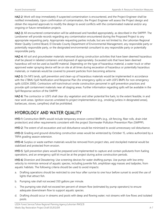HAZ-2: Work will stop immediately if suspected contamination is encountered, and the Project Engineer shall be notified immediately. Upon confirmation of contamination, the Project Engineer will assess the Project design and obtain the required approvals to modify the design to avoid conflicts with the contaminated material and/or any ongoing or future remediation projects.

HAZ-3: All encountered contamination will be addressed and handled appropriately, as described in the SWPPP. The Landowner will provide records regarding any contamination encountered during the Proposed Project to any appropriate requesting party. Appropriate requesting parties include, but are not limited to, the Lahontan Regional Water Quality Control Board, El Dorado County Department of Environmental Management, any responsible party or potentially responsible party, or the designated environmental consultant to any responsible party or potentially responsible party.

HAZ-4: All soil and groundwater materials removed during construction activities that have been deemed hazardous shall be placed in labeled containers and disposed of appropriately. Excavated soils that have been deemed hazardous will not be used as backfill material. Depending on the type of hazardous material, a water truck or other approved water spraying device will be on site at all times during excavation of hazardous or potentially hazardous materials, or materials would be covered to prevent particles from becoming airborne.

HAZ-5: On NFS lands, spill prevention and clean-up of hazardous materials would be implemented in accordance with the LTBMU Spill Notification and Response Plan (for emergency spills) or with USFS BMPs for non-emergency spills (USDA 2000). Contractors will train/instruct onsite construction personnel in spill prevention practices and provide spill containment materials near all staging areas. Further information regarding spills will be available in the Spill Response section of the SWPPP.

HAZ-6: The contractor or USFS shall clear dry vegetation and other potential fire fuels, to the extent feasible, in and near work areas. Ignition sources unrelated to project implementation (e.g., smoking [unless in designated areas], barbecues, stoves, campfires) shall be prohibited.

#### HYDROLOGY AND WATER QUALITY

HYD-1: Construction BMPs would include temporary erosion control BMPs (e.g., silt fencing, fiber rolls, drain inlet protection) and other requirements consistent with the project Stormwater Pollution Prevention Plan (SWPPP).

HYD-2: The extent of all excavation and soil disturbance would be minimized to avoid unnecessary soil disturbance.

HYD-3: Grading and ground-disturbing construction areas would be winterized by October 15, unless authorized by a TRPA grading season extension.

HYD-4: Surplus or waste earthen materials would be removed from project sites, and stockpiled material would be stabilized and protected from erosion.

HYD-5: Spill prevention plans would be prepared and implemented to capture and contain pollutants from fueling operations, and an emergency spill kit must be at the project during active construction periods.

HYD-6: Diversion and Dewatering: Use screening devices for water drafting pumps. Use pumps with low entry velocity to minimize removal of aquatic species, including juvenile fish, amphibian egg masses and tadpoles, from aquatic habitats. The following criteria should be used to avoid impacts:

- a. Drafting operations should be restricted to one hour after sunrise to one hour before sunset to avoid the use of lights that attract fish.
- b. Pumping rate shall not exceed 350 gallons per minute.
- c. The pumping rate shall not exceed ten percent of stream flow (estimated by pump operators) to ensure adequate downstream flow to support aquatic species.
- d. Drafting should occur in streams and pools with deep and flowing water; not streams with low flows and isolated pools.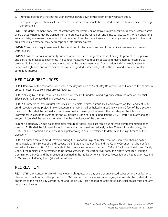- e. Pumping operations shall not result in obvious down-down of upstream or downstream pools.
- f. Each pumping operation shall use screens. The screen face should be oriented parallel to flow for best screening performance.

HYD-7: No debris, cement, concrete (of wash water therefrom), oil or petroleum products would enter surface waters or be placed where it may be washed from the project area by rainfall or runoff into surface waters. When operations are complete, any excess material would be removed from the project area and from any areas adjacent to the work area where such material may be transported into surface waters.

HYD-8: Construction equipment would be monitored for leaks and removed from service if necessary to protect water quality.

HYD-9: Caissons, sleeves, or turbidity curtains would be used during placement of pilings to prevent re-suspension and discharge of lakebed sediments. The control measures would be inspected and maintained as necessary to prevent discharge of suspended sediment outside the containment area. Construction activities would cease for periods of high wind and wave action that cause degraded water quality within the curtained area until weather conditions improve.

#### HERITAGE RESOURCES

HER-1: Removal of the mortared stone wall in the day use area at Meeks Bay Resort would be limited to the minimum amount necessary to construct project features.

HER-2: All eligible cultural resource sites and properties with undetermined eligibility within the Area of Potential Effects (APE) will be avoided and protected in place.

HER-3: If unrecorded/new cultural resources (i.e., prehistoric sites, historic sites, and isolated artifacts and features) are discovered during project implementation, then work shall be halted immediately within 50 feet of the discovery, the CTC LTBMU shall be notified, and a professional archaeologist that meets the Secretary of the Interior's Professional Qualifications Standards and Guidelines ([Code of Federal Regulations, 36 CFR Part 61]) in archaeology and/or history shall be retained to determine the significance of the discovery.

HER-4: If potentially unique paleontological resources (fossils) are discovered during Project implementation, then standard BMPs shall be followed, including: work shall be halted immediately within 50 feet of the discovery, the LTBMU shall be notified, and a professional paleontologist shall be retained to determine the significance of the discovery.

HER-5: If human remains are discovered during the Proposed Project implementation, then work shall be halted immediately within 50 feet of the discovery, the LTBMU shall be notified, and the County Coroner must be notified, according to Section 5097.98 of the State Public Resources Code and Section 7050.5 of California's Health and Safety Code. If the remains are determined to be Native American, the coroner will notify the Native American Heritage Commission (NAHC), and the procedures outlined in the Native American Graves Protection and Repatriation Act and CEQA Section 15064.5(d) and (e) shall be followed.

#### **RECREATION**

REC-1: LTBMU or concessionaire will notify overnight guests and day users of anticipated construction. Notification of planned construction would be posted on LTBMU and concessionaire websites. Signage would also be posted at the entrances to the Meeks Bay Campground and Meeks Bay Resort regarding anticipated construction activities and any temporary closures.